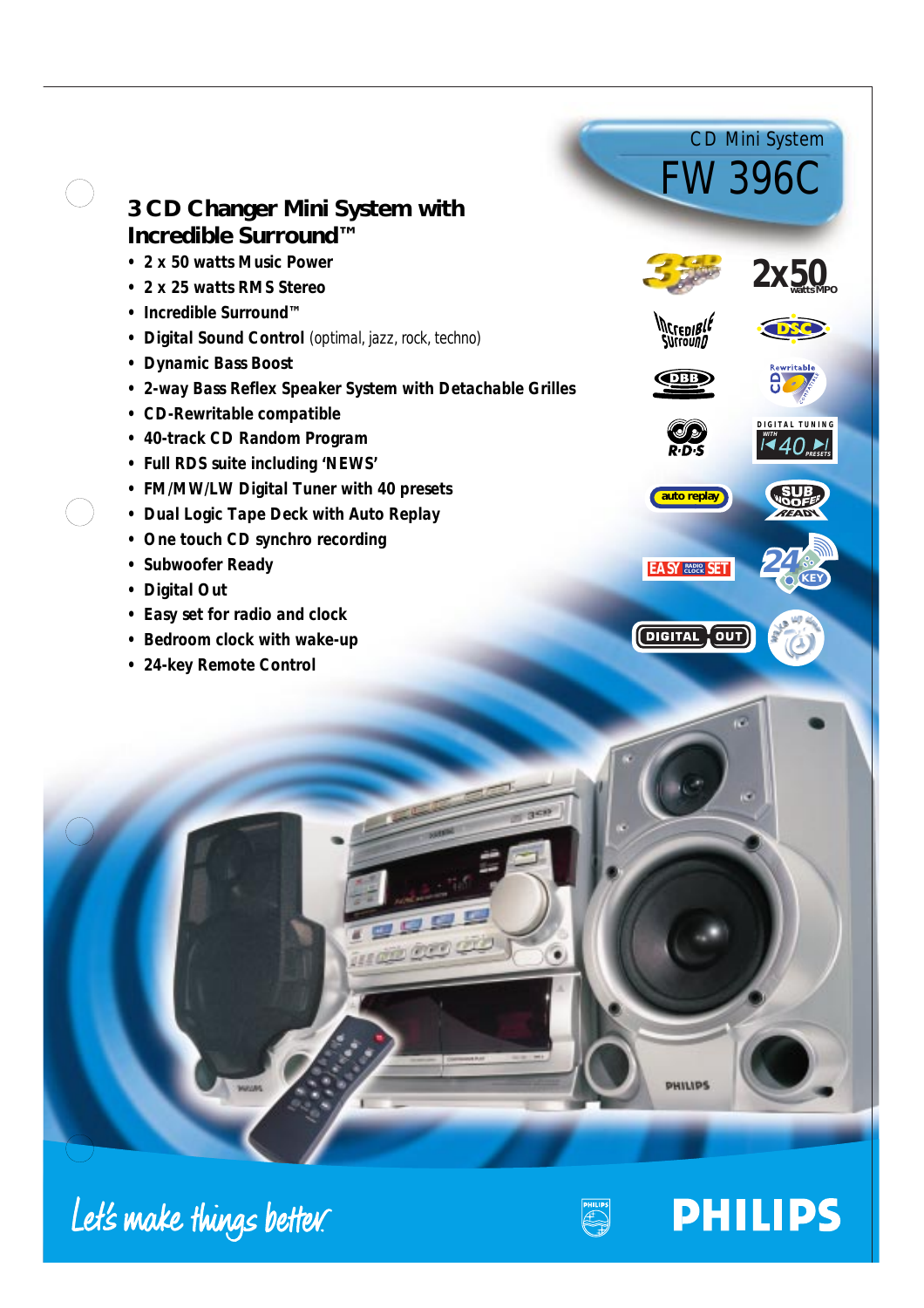|  |                                                                                       | <b>CD Mini System</b><br><b>FW396C</b> |            |
|--|---------------------------------------------------------------------------------------|----------------------------------------|------------|
|  | 3 CD Changer Mini System with                                                         |                                        |            |
|  | Incredible Surround™                                                                  |                                        |            |
|  | • 2 x 50 watts Music Power                                                            |                                        |            |
|  | 2 x 25 watts RMS Stereo                                                               |                                        |            |
|  | Incredible Surround™                                                                  | <b>INCrepiBli</b>                      |            |
|  | Digital Sound Control (optimal, jazz, rock, techno)                                   | <i><b>Surrounn</b></i>                 |            |
|  | <b>Dynamic Bass Boost</b><br>2-way Bass Reflex Speaker System with Detachable Grilles | DBB                                    | Rewritable |
|  | <b>CD-Rewritable compatible</b>                                                       |                                        |            |
|  | • 40-track CD Random Program                                                          |                                        |            |
|  | • Full RDS suite including 'NEWS'                                                     |                                        |            |
|  | • FM/MW/LW Digital Tuner with 40 presets                                              |                                        |            |
|  | • Dual Logic Tape Deck with Auto Replay                                               | auto replay                            |            |
|  | One touch CD synchro recording                                                        |                                        |            |
|  | <b>Subwoofer Ready</b>                                                                | <b>EASY EASIER SET</b>                 |            |
|  | <b>Digital Out</b>                                                                    |                                        |            |
|  | Easy set for radio and clock                                                          |                                        |            |
|  | Bedroom clock with wake-up                                                            | <b>DIGITAL</b> OUT                     |            |
|  | • 24-key Remote Control                                                               |                                        |            |
|  | 7 <sub>10</sub>                                                                       | œ                                      |            |
|  |                                                                                       |                                        |            |

# Let's make things better.





PHILIPS